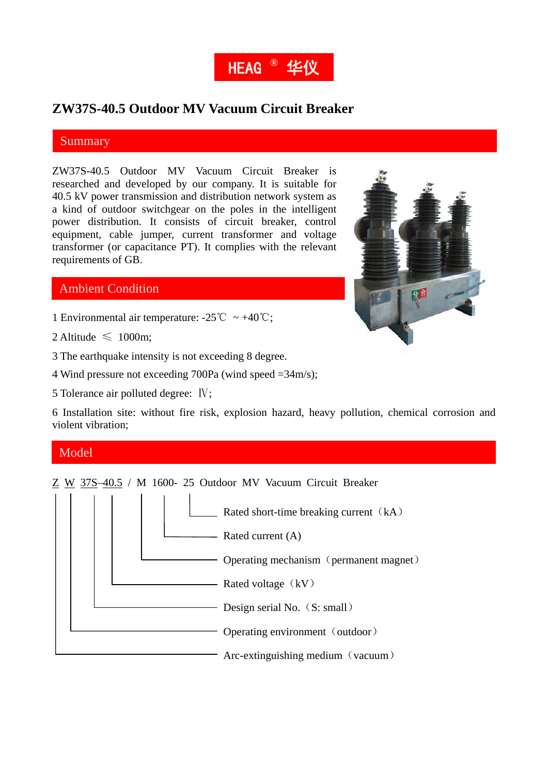

# **ZW37S-40.5 Outdoor MV Vacuum Circuit Breaker**

### Summary

ZW37S-40.5 Outdoor MV Vacuum Circuit Breaker is researched and developed by our company. It is suitable for 40.5 kV power transmission and distribution network system as a kind of outdoor switchgear on the poles in the intelligent power distribution. It consists of circuit breaker, control equipment, cable jumper, current transformer and voltage transformer (or capacitance PT). It complies with the relevant requirements of GB.



## Ambient Condition

- 1 Environmental air temperature:  $-25^{\circ}\text{C} \sim +40^{\circ}\text{C}$ ;
- 2 Altitude  $\leq 1000$ m:
- 3 The earthquake intensity is not exceeding 8 degree.
- 4 Wind pressure not exceeding 700Pa (wind speed =34m/s);
- 5 Tolerance air polluted degree: Ⅳ;

6 Installation site: without fire risk, explosion hazard, heavy pollution, chemical corrosion and violent vibration;

#### Model

Z W 37S–40.5 / M 1600- 25 Outdoor MV Vacuum Circuit Breaker

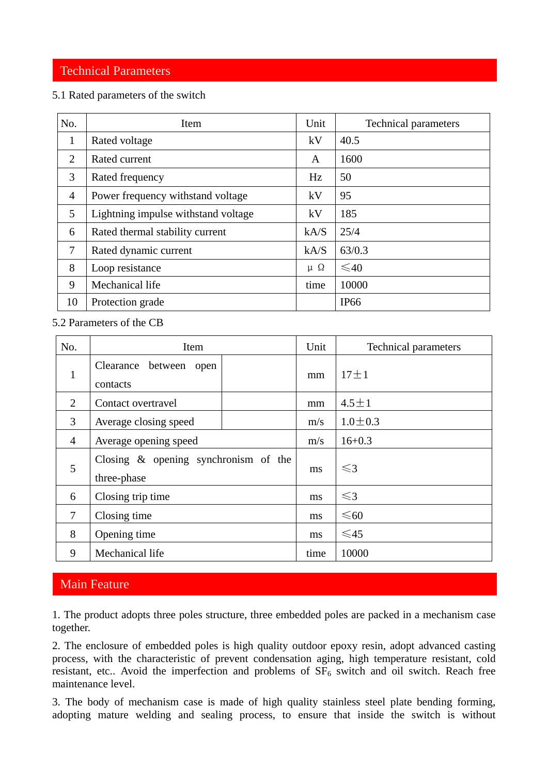### Technical Parameters

#### 5.1 Rated parameters of the switch

| No.            | Item                                | Unit         | <b>Technical parameters</b> |
|----------------|-------------------------------------|--------------|-----------------------------|
| 1              | Rated voltage                       | kV           | 40.5                        |
| $\overline{2}$ | Rated current                       | A            | 1600                        |
| 3              | Rated frequency                     | Hz           | 50                          |
| $\overline{4}$ | Power frequency withstand voltage   | kV           | 95                          |
| 5              | Lightning impulse withstand voltage | kV           | 185                         |
| 6              | Rated thermal stability current     | kA/S         | 25/4                        |
| 7              | Rated dynamic current               | kA/S         | 63/0.3                      |
| 8              | Loop resistance                     | $\mu \Omega$ | $\leq 40$                   |
| 9              | Mechanical life                     | time         | 10000                       |
| 10             | Protection grade                    |              | IP <sub>66</sub>            |

5.2 Parameters of the CB

| No.            | Item                                                   | Unit | <b>Technical parameters</b> |
|----------------|--------------------------------------------------------|------|-----------------------------|
| $\mathbf{1}$   | Clearance between<br>open<br>contacts                  | mm   | $17 \pm 1$                  |
| 2              | Contact overtravel                                     | mm   | $4.5 \pm 1$                 |
| 3              | Average closing speed                                  | m/s  | $1.0 \pm 0.3$               |
| $\overline{4}$ | Average opening speed                                  | m/s  | $16+0.3$                    |
| 5              | Closing $\&$ opening synchronism of the<br>three-phase | ms   | $\leq$ 3                    |
| 6              | Closing trip time                                      | ms   | $\leq$ 3                    |
| $\tau$         | Closing time                                           | ms   | $\leq 60$                   |
| 8              | Opening time                                           | ms   | $\leq$ 45                   |
| 9              | Mechanical life                                        | time | 10000                       |

## Main Feature

1. The product adopts three poles structure, three embedded poles are packed in a mechanism case together.

2. The enclosure of embedded poles is high quality outdoor epoxy resin, adopt advanced casting process, with the characteristic of prevent condensation aging, high temperature resistant, cold resistant, etc.. Avoid the imperfection and problems of  $SF<sub>6</sub>$  switch and oil switch. Reach free maintenance level.

3. The body of mechanism case is made of high quality stainless steel plate bending forming, adopting mature welding and sealing process, to ensure that inside the switch is without